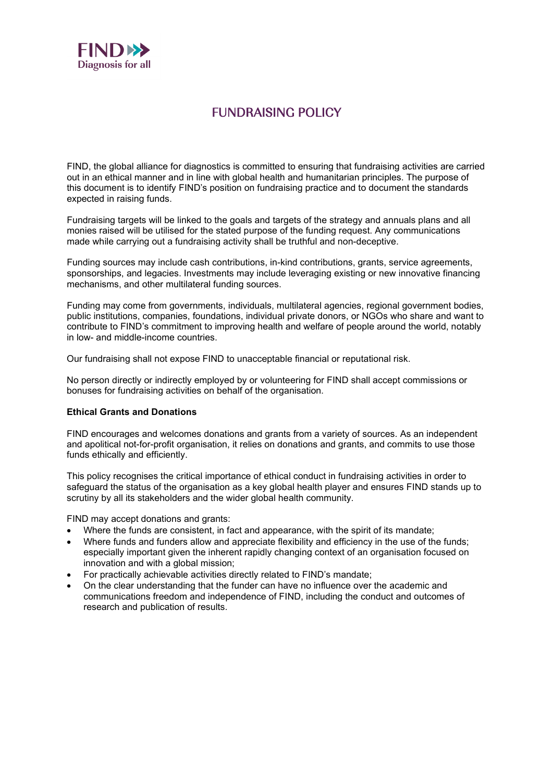

## FUNDRAISING POLICY

FIND, the global alliance for diagnostics is committed to ensuring that fundraising activities are carried out in an ethical manner and in line with global health and humanitarian principles. The purpose of this document is to identify FIND's position on fundraising practice and to document the standards expected in raising funds.

Fundraising targets will be linked to the goals and targets of the strategy and annuals plans and all monies raised will be utilised for the stated purpose of the funding request. Any communications made while carrying out a fundraising activity shall be truthful and non-deceptive.

Funding sources may include cash contributions, in-kind contributions, grants, service agreements, sponsorships, and legacies. Investments may include leveraging existing or new innovative financing mechanisms, and other multilateral funding sources.

Funding may come from governments, individuals, multilateral agencies, regional government bodies, public institutions, companies, foundations, individual private donors, or NGOs who share and want to contribute to FIND's commitment to improving health and welfare of people around the world, notably in low- and middle-income countries.

Our fundraising shall not expose FIND to unacceptable financial or reputational risk.

No person directly or indirectly employed by or volunteering for FIND shall accept commissions or bonuses for fundraising activities on behalf of the organisation.

## **Ethical Grants and Donations**

FIND encourages and welcomes donations and grants from a variety of sources. As an independent and apolitical not-for-profit organisation, it relies on donations and grants, and commits to use those funds ethically and efficiently.

This policy recognises the critical importance of ethical conduct in fundraising activities in order to safeguard the status of the organisation as a key global health player and ensures FIND stands up to scrutiny by all its stakeholders and the wider global health community.

FIND may accept donations and grants:

- Where the funds are consistent, in fact and appearance, with the spirit of its mandate;
- Where funds and funders allow and appreciate flexibility and efficiency in the use of the funds; especially important given the inherent rapidly changing context of an organisation focused on innovation and with a global mission;
- For practically achievable activities directly related to FIND's mandate;
- On the clear understanding that the funder can have no influence over the academic and communications freedom and independence of FIND, including the conduct and outcomes of research and publication of results.